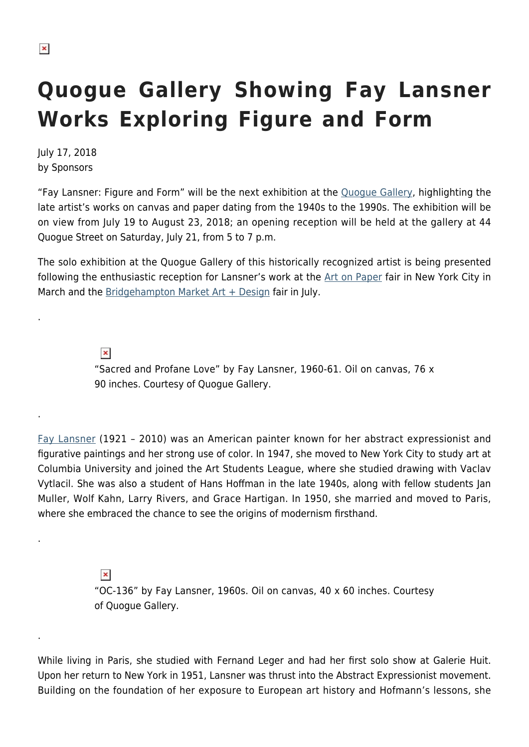.

.

.

.

## **Quogue Gallery Showing Fay Lansner Works Exploring Figure and Form**

July 17, 2018 by Sponsors

"Fay Lansner: Figure and Form" will be the next exhibition at the [Quogue Gallery](http://www.quoguegallery.com), highlighting the late artist's works on canvas and paper dating from the 1940s to the 1990s. The exhibition will be on view from July 19 to August 23, 2018; an opening reception will be held at the gallery at 44 Quogue Street on Saturday, July 21, from 5 to 7 p.m.

The solo exhibition at the Quogue Gallery of this historically recognized artist is being presented following the enthusiastic reception for Lansner's work at the [Art on Paper](http://thepaperfair.com/ny) fair in New York City in March and the Bridgehampton Market  $Art + Design$  fair in July.

> $\pmb{\times}$ "Sacred and Profane Love" by Fay Lansner, 1960-61. Oil on canvas, 76 x 90 inches. Courtesy of Quogue Gallery.

[Fay Lansner](https://quoguegallery.com/artists/67462/fay-lansner/) (1921 – 2010) was an American painter known for her abstract expressionist and figurative paintings and her strong use of color. In 1947, she moved to New York City to study art at Columbia University and joined the Art Students League, where she studied drawing with Vaclav Vytlacil. She was also a student of Hans Hoffman in the late 1940s, along with fellow students Jan Muller, Wolf Kahn, Larry Rivers, and Grace Hartigan. In 1950, she married and moved to Paris, where she embraced the chance to see the origins of modernism firsthand.

> $\pmb{\times}$ "OC-136" by Fay Lansner, 1960s. Oil on canvas, 40 x 60 inches. Courtesy of Quogue Gallery.

While living in Paris, she studied with Fernand Leger and had her first solo show at Galerie Huit. Upon her return to New York in 1951, Lansner was thrust into the Abstract Expressionist movement. Building on the foundation of her exposure to European art history and Hofmann's lessons, she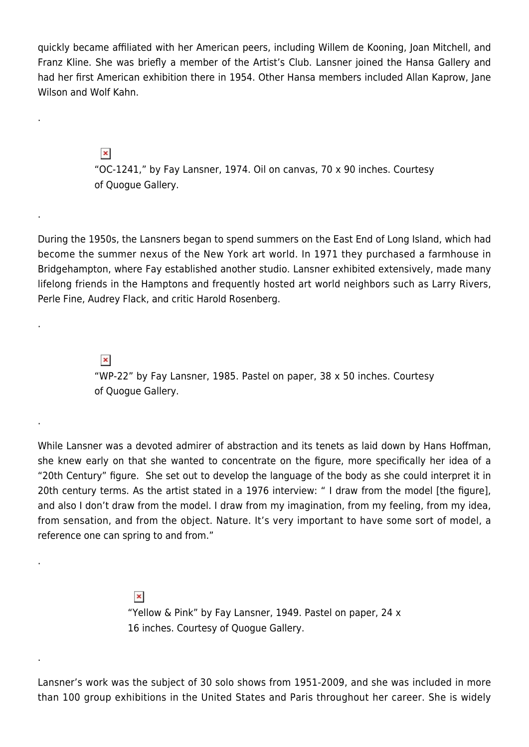quickly became affiliated with her American peers, including Willem de Kooning, Joan Mitchell, and Franz Kline. She was briefly a member of the Artist's Club. Lansner joined the Hansa Gallery and had her first American exhibition there in 1954. Other Hansa members included Allan Kaprow, Jane Wilson and Wolf Kahn.

> $\pmb{\times}$ "OC-1241," by Fay Lansner, 1974. Oil on canvas, 70 x 90 inches. Courtesy of Quogue Gallery.

.

.

.

.

.

.

During the 1950s, the Lansners began to spend summers on the East End of Long Island, which had become the summer nexus of the New York art world. In 1971 they purchased a farmhouse in Bridgehampton, where Fay established another studio. Lansner exhibited extensively, made many lifelong friends in the Hamptons and frequently hosted art world neighbors such as Larry Rivers, Perle Fine, Audrey Flack, and critic Harold Rosenberg.

> $\pmb{\times}$ "WP-22" by Fay Lansner, 1985. Pastel on paper, 38 x 50 inches. Courtesy of Quogue Gallery.

While Lansner was a devoted admirer of abstraction and its tenets as laid down by Hans Hoffman, she knew early on that she wanted to concentrate on the figure, more specifically her idea of a "20th Century" figure. She set out to develop the language of the body as she could interpret it in 20th century terms. As the artist stated in a 1976 interview: " I draw from the model [the figure], and also I don't draw from the model. I draw from my imagination, from my feeling, from my idea, from sensation, and from the object. Nature. It's very important to have some sort of model, a reference one can spring to and from."

> $\pmb{\times}$ "Yellow & Pink" by Fay Lansner, 1949. Pastel on paper, 24 x 16 inches. Courtesy of Quogue Gallery.

Lansner's work was the subject of 30 solo shows from 1951-2009, and she was included in more than 100 group exhibitions in the United States and Paris throughout her career. She is widely